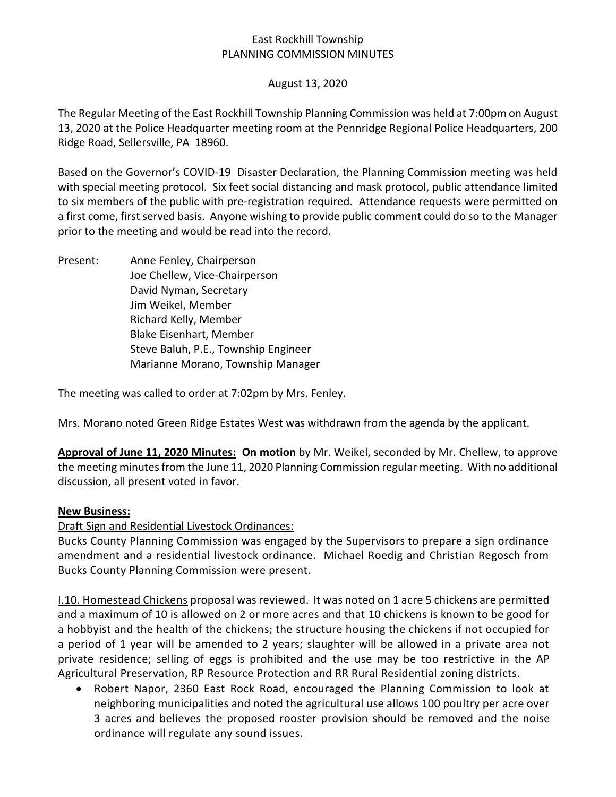## East Rockhill Township PLANNING COMMISSION MINUTES

### August 13, 2020

The Regular Meeting of the East Rockhill Township Planning Commission was held at 7:00pm on August 13, 2020 at the Police Headquarter meeting room at the Pennridge Regional Police Headquarters, 200 Ridge Road, Sellersville, PA 18960.

Based on the Governor's COVID-19 Disaster Declaration, the Planning Commission meeting was held with special meeting protocol. Six feet social distancing and mask protocol, public attendance limited to six members of the public with pre-registration required. Attendance requests were permitted on a first come, first served basis. Anyone wishing to provide public comment could do so to the Manager prior to the meeting and would be read into the record.

Present: Anne Fenley, Chairperson Joe Chellew, Vice-Chairperson David Nyman, Secretary Jim Weikel, Member Richard Kelly, Member Blake Eisenhart, Member Steve Baluh, P.E., Township Engineer Marianne Morano, Township Manager

The meeting was called to order at 7:02pm by Mrs. Fenley.

Mrs. Morano noted Green Ridge Estates West was withdrawn from the agenda by the applicant.

**Approval of June 11, 2020 Minutes: On motion** by Mr. Weikel, seconded by Mr. Chellew, to approve the meeting minutes from the June 11, 2020 Planning Commission regular meeting. With no additional discussion, all present voted in favor.

### **New Business:**

Draft Sign and Residential Livestock Ordinances:

Bucks County Planning Commission was engaged by the Supervisors to prepare a sign ordinance amendment and a residential livestock ordinance. Michael Roedig and Christian Regosch from Bucks County Planning Commission were present.

I.10. Homestead Chickens proposal was reviewed. It was noted on 1 acre 5 chickens are permitted and a maximum of 10 is allowed on 2 or more acres and that 10 chickens is known to be good for a hobbyist and the health of the chickens; the structure housing the chickens if not occupied for a period of 1 year will be amended to 2 years; slaughter will be allowed in a private area not private residence; selling of eggs is prohibited and the use may be too restrictive in the AP Agricultural Preservation, RP Resource Protection and RR Rural Residential zoning districts.

• Robert Napor, 2360 East Rock Road, encouraged the Planning Commission to look at neighboring municipalities and noted the agricultural use allows 100 poultry per acre over 3 acres and believes the proposed rooster provision should be removed and the noise ordinance will regulate any sound issues.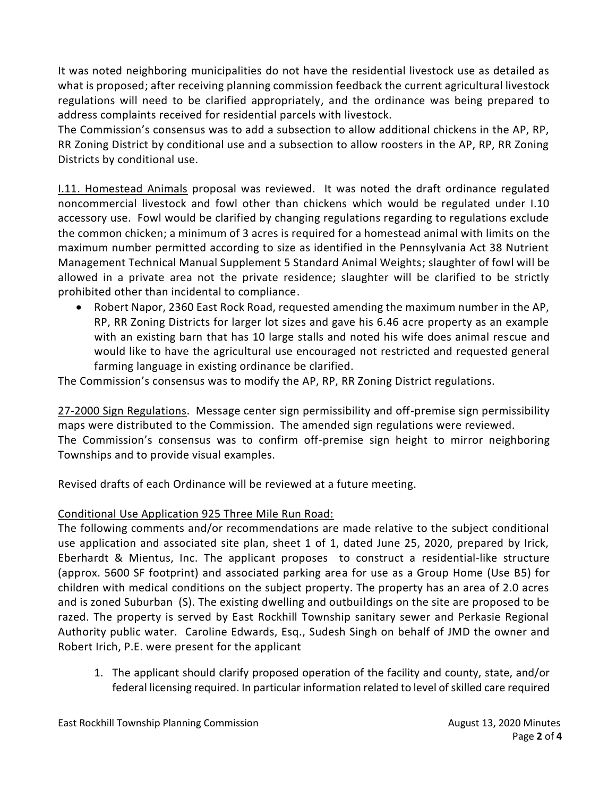It was noted neighboring municipalities do not have the residential livestock use as detailed as what is proposed; after receiving planning commission feedback the current agricultural livestock regulations will need to be clarified appropriately, and the ordinance was being prepared to address complaints received for residential parcels with livestock.

The Commission's consensus was to add a subsection to allow additional chickens in the AP, RP, RR Zoning District by conditional use and a subsection to allow roosters in the AP, RP, RR Zoning Districts by conditional use.

I.11. Homestead Animals proposal was reviewed. It was noted the draft ordinance regulated noncommercial livestock and fowl other than chickens which would be regulated under I.10 accessory use. Fowl would be clarified by changing regulations regarding to regulations exclude the common chicken; a minimum of 3 acres is required for a homestead animal with limits on the maximum number permitted according to size as identified in the Pennsylvania Act 38 Nutrient Management Technical Manual Supplement 5 Standard Animal Weights; slaughter of fowl will be allowed in a private area not the private residence; slaughter will be clarified to be strictly prohibited other than incidental to compliance.

• Robert Napor, 2360 East Rock Road, requested amending the maximum number in the AP, RP, RR Zoning Districts for larger lot sizes and gave his 6.46 acre property as an example with an existing barn that has 10 large stalls and noted his wife does animal rescue and would like to have the agricultural use encouraged not restricted and requested general farming language in existing ordinance be clarified.

The Commission's consensus was to modify the AP, RP, RR Zoning District regulations.

27-2000 Sign Regulations. Message center sign permissibility and off-premise sign permissibility maps were distributed to the Commission. The amended sign regulations were reviewed. The Commission's consensus was to confirm off-premise sign height to mirror neighboring Townships and to provide visual examples.

Revised drafts of each Ordinance will be reviewed at a future meeting.

# Conditional Use Application 925 Three Mile Run Road:

The following comments and/or recommendations are made relative to the subject conditional use application and associated site plan, sheet 1 of 1, dated June 25, 2020, prepared by Irick, Eberhardt & Mientus, Inc. The applicant proposes to construct a residential-like structure (approx. 5600 SF footprint) and associated parking area for use as a Group Home (Use B5) for children with medical conditions on the subject property. The property has an area of 2.0 acres and is zoned Suburban (S). The existing dwelling and outbuildings on the site are proposed to be razed. The property is served by East Rockhill Township sanitary sewer and Perkasie Regional Authority public water. Caroline Edwards, Esq., Sudesh Singh on behalf of JMD the owner and Robert Irich, P.E. were present for the applicant

1. The applicant should clarify proposed operation of the facility and county, state, and/or federal licensing required. In particular information related to level of skilled care required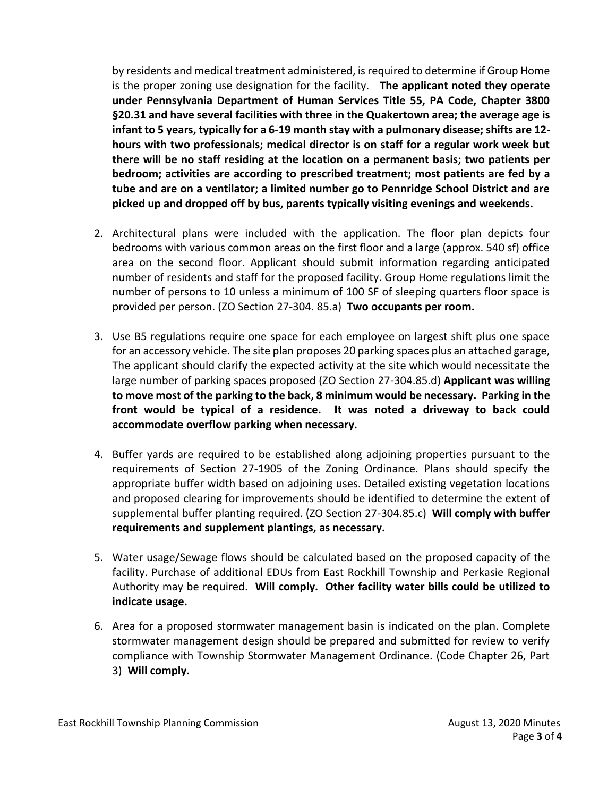by residents and medical treatment administered, is required to determine if Group Home is the proper zoning use designation for the facility. **The applicant noted they operate under Pennsylvania Department of Human Services Title 55, PA Code, Chapter 3800 §20.31 and have several facilities with three in the Quakertown area; the average age is infant to 5 years, typically for a 6-19 month stay with a pulmonary disease; shifts are 12 hours with two professionals; medical director is on staff for a regular work week but there will be no staff residing at the location on a permanent basis; two patients per bedroom; activities are according to prescribed treatment; most patients are fed by a tube and are on a ventilator; a limited number go to Pennridge School District and are picked up and dropped off by bus, parents typically visiting evenings and weekends.** 

- 2. Architectural plans were included with the application. The floor plan depicts four bedrooms with various common areas on the first floor and a large (approx. 540 sf) office area on the second floor. Applicant should submit information regarding anticipated number of residents and staff for the proposed facility. Group Home regulations limit the number of persons to 10 unless a minimum of 100 SF of sleeping quarters floor space is provided per person. (ZO Section 27-304. 85.a) **Two occupants per room.**
- 3. Use B5 regulations require one space for each employee on largest shift plus one space for an accessory vehicle. The site plan proposes 20 parking spaces plus an attached garage, The applicant should clarify the expected activity at the site which would necessitate the large number of parking spaces proposed (ZO Section 27-304.85.d) **Applicant was willing to move most of the parking to the back, 8 minimum would be necessary. Parking in the front would be typical of a residence. It was noted a driveway to back could accommodate overflow parking when necessary.**
- 4. Buffer yards are required to be established along adjoining properties pursuant to the requirements of Section 27-1905 of the Zoning Ordinance. Plans should specify the appropriate buffer width based on adjoining uses. Detailed existing vegetation locations and proposed clearing for improvements should be identified to determine the extent of supplemental buffer planting required. (ZO Section 27-304.85.c) **Will comply with buffer requirements and supplement plantings, as necessary.**
- 5. Water usage/Sewage flows should be calculated based on the proposed capacity of the facility. Purchase of additional EDUs from East Rockhill Township and Perkasie Regional Authority may be required. **Will comply. Other facility water bills could be utilized to indicate usage.**
- 6. Area for a proposed stormwater management basin is indicated on the plan. Complete stormwater management design should be prepared and submitted for review to verify compliance with Township Stormwater Management Ordinance. (Code Chapter 26, Part 3) **Will comply.**